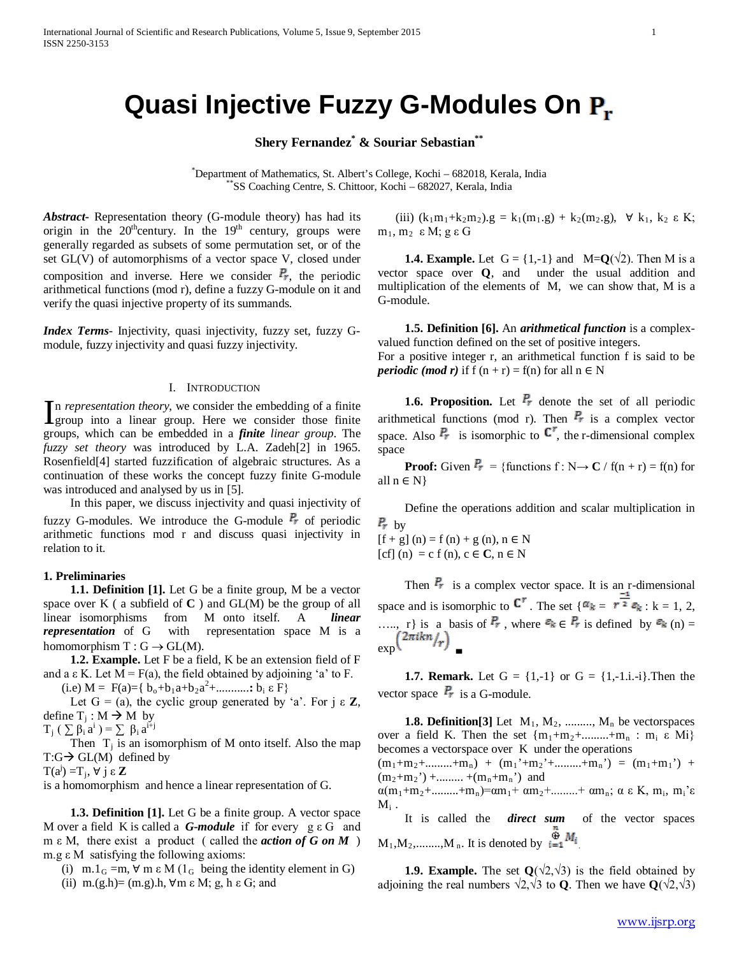# **Quasi Injective Fuzzy G-Modules On**

**Shery Fernandez\* & Souriar Sebastian\*\***

\* Department of Mathematics, St. Albert's College, Kochi – 682018, Kerala, India \*\*SS Coaching Centre, S. Chittoor, Kochi – 682027, Kerala, India

*Abstract***-** Representation theory (G-module theory) has had its origin in the  $20<sup>th</sup>$  century. In the  $19<sup>th</sup>$  century, groups were generally regarded as subsets of some permutation set, or of the set GL(V) of automorphisms of a vector space V, closed under composition and inverse. Here we consider  $\mathbb{F}_r$ , the periodic arithmetical functions (mod r), define a fuzzy G-module on it and verify the quasi injective property of its summands.

*Index Terms*- Injectivity, quasi injectivity, fuzzy set, fuzzy Gmodule, fuzzy injectivity and quasi fuzzy injectivity.

## I. INTRODUCTION

In *representation theory*, we consider the embedding of a finite group into a linear group. Here we consider those finite  $\blacksquare$  group into a linear group. Here we consider those finite groups, which can be embedded in a *finite linear group*. The *fuzzy set theory* was introduced by L.A. Zadeh[2] in 1965. Rosenfield[4] started fuzzification of algebraic structures. As a continuation of these works the concept fuzzy finite G-module was introduced and analysed by us in [5].

 In this paper, we discuss injectivity and quasi injectivity of fuzzy G-modules. We introduce the G-module  $\mathbb{P}_r$  of periodic arithmetic functions mod r and discuss quasi injectivity in relation to it.

## **1. Preliminaries**

 **1.1. Definition [1].** Let G be a finite group, M be a vector space over K ( a subfield of **C** ) and GL(M) be the group of all linear isomorphisms from M onto itself. A *linear representation* of G with representation space M is a homomorphism  $T: G \rightarrow GL(M)$ .

 **1.2. Example.** Let F be a field, K be an extension field of F and a  $\epsilon$  K. Let M = F(a), the field obtained by adjoining 'a' to F. (i.e)  $M = F(a)=\{b_0+b_1a+b_2a^2+... \dotsb ; b_i \in F\}$ 

Let  $G = (a)$ , the cyclic group generated by 'a'. For j  $\varepsilon Z$ , define  $T_i : M \rightarrow M$  by

 $T_j$  (  $\sum \beta_i a^i$  ) =  $\sum \beta_i a^{i+j}$ 

Then  $T_i$  is an isomorphism of M onto itself. Also the map  $T:G \rightarrow GL(M)$  defined by

T(aj ) =Tj, ∀ j ε **Z**

is a homomorphism and hence a linear representation of G.

 **1.3. Definition [1].** Let G be a finite group. A vector space M over a field K is called a *G-module* if for every g ε G and m ε M, there exist a product ( called the *action of G on M* ) m.g ε M satisfying the following axioms:

(i) m.1<sub>G</sub> =m,  $\forall$  m  $\epsilon$  M (1<sub>G</sub> being the identity element in G)

(ii) m.(g.h)= (m.g).h,  $\forall$ m ε M; g, h ε G; and

(iii)  $(k_1m_1+k_2m_2)$ .g =  $k_1(m_1,g) + k_2(m_2,g)$ ,  $\forall k_1, k_2 \in K$ ;  $m_1$ ,  $m_2$  ε M; g ε G

**1.4. Example.** Let  $G = \{1, -1\}$  and  $M = Q(\sqrt{2})$ . Then M is a vector space over **Q**, and under the usual addition and multiplication of the elements of M, we can show that, M is a G-module.

 **1.5. Definition [6].** An *arithmetical function* is a complexvalued function defined on the set of positive integers. For a positive integer r, an arithmetical function f is said to be

*periodic (mod r)* if  $f(n+r) = f(n)$  for all  $n \in N$ 

**1.6. Proposition.** Let  $\mathbb{F}_{r}$  denote the set of all periodic arithmetical functions (mod r). Then  $\mathbb{F}_r$  is a complex vector space. Also  $\mathbb{F}_{r}$  is isomorphic to  $\mathbb{C}^{r}$ , the r-dimensional complex space

**Proof:** Given  $\mathbb{F}_r = \{\text{functions } f : N \to \mathbb{C} \mid f(n+r) = f(n) \text{ for }$ all  $n \in N$ }

 Define the operations addition and scalar multiplication in  $\frac{p}{r}$  by  $[f + g] (n) = f (n) + g (n), n \in N$ 

 $[cf]$  (n) = c f (n), c  $\in \mathbb{C}$ , n  $\in \mathbb{N}$ 

Then  $\mathbb{F}_{r}$  is a complex vector space. It is an r-dimensional space and is isomorphic to  $\mathbb{C}^*$ . The set  $\{\alpha_k = r^{\frac{-1}{2}}\mathbf{z}_k : k = 1, 2, \dots\}$ ……, r} is a basis of  $\mathbb{F}_r$ , where  $\mathbb{E}_k \in \mathbb{F}_r$  is defined by  $\mathbb{E}_k$  (n) =  $\exp^{\left( 2\pi ikn/r\right) }$ 

**1.7. Remark.** Let  $G = \{1, -1\}$  or  $G = \{1, -1, 1, -1\}$ . Then the vector space  $\mathbb{F}_{r}$  is a G-module.

**1.8. Definition[3]** Let  $M_1, M_2, \ldots, M_n$  be vectorspaces over a field K. Then the set  ${m_1+m_2+...+m_n : m_i \in M_i}$ becomes a vectorspace over K under the operations

 $(m_1+m_2+...+m_n) + (m_1+m_2+...+m_n) = (m_1+m_1) +$  $(m_2+m_2') + \dots + (m_n+m_n')$  and

 $\alpha(m_1+m_2+\ldots+m_n)=\alpha m_1+\alpha m_2+\ldots+\alpha m_n; \alpha \in K, m_i, m_i \in$  $M_i$ .

 It is called the *direct sum* of the vector spaces  $M_1, M_2, \ldots, M_n$ . It is denoted by  $\bigoplus_{i=1}^{\widetilde{\Phi}} M_i$ 

**1.9. Example.** The set  $Q(\sqrt{2}, \sqrt{3})$  is the field obtained by adjoining the real numbers  $\sqrt{2}$ ,  $\sqrt{3}$  to **Q**. Then we have **Q**( $\sqrt{2}$ ,  $\sqrt{3}$ )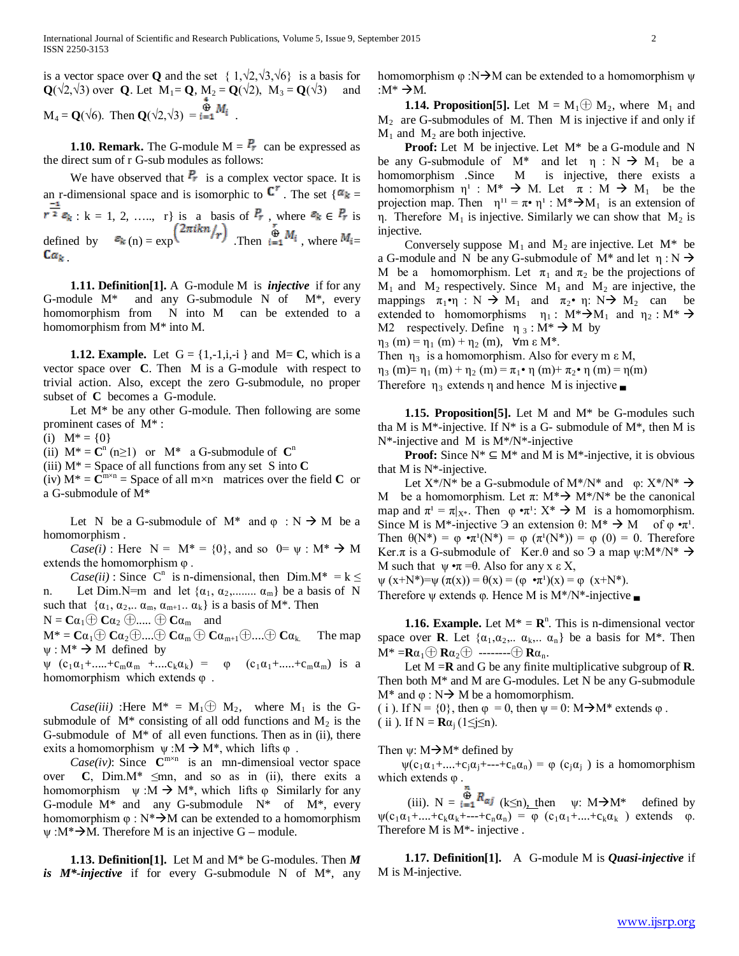is a vector space over **Q** and the set  $\{1,\sqrt{2},\sqrt{3},\sqrt{6}\}\)$  is a basis for **Q**(√2,√3) over **Q**. Let  $M_1 = Q$ ,  $M_2 = Q(\sqrt{2})$ ,  $M_3 = Q(\sqrt{3})$  and  $M_4 = \mathbf{Q}(\sqrt{6})$ . Then  $\mathbf{Q}(\sqrt{2}, \sqrt{3}) = \mathbf{i} + \mathbf{M}_i$ 

**1.10. Remark.** The G-module  $M = \mathbb{F}_r$  can be expressed as the direct sum of r G-sub modules as follows:

We have observed that  $\mathbb{F}_{r}$  is a complex vector space. It is an r-dimensional space and is isomorphic to  $\mathbb{C}^{\mathscr{F}}$ . The set  $\{\mathscr{A}_{\mathbb{R}}=\emptyset\}$ :  $k = 1, 2, \ldots, r$  is a basis of  $F_r$ , where  $\epsilon_k \in F_r$  is defined by  $\epsilon_{k}(n) = \exp k$  . Then  $i=1$   $\epsilon_{l}$ , where  $M_{i=1}$  $\alpha_{\text{\tiny L}}$ 

 **1.11. Definition[1].** A G-module M is *injective* if for any G-module  $M^*$  and any G-submodule N of  $M^*$ , every homomorphism from N into M can be extended to a homomorphism from M\* into M.

**1.12. Example.** Let  $G = \{1, -1, i, -i\}$  and  $M = C$ , which is a vector space over **C**. Then M is a G-module with respect to trivial action. Also, except the zero G-submodule, no proper subset of **C** becomes a G-module.

 Let M\* be any other G-module. Then following are some prominent cases of M\* :

(i)  $M^* = \{0\}$ 

(ii)  $M^* = \mathbb{C}^n$  (n≥1) or  $M^*$  a G-submodule of  $\mathbb{C}^n$ 

(iii)  $M^*$  = Space of all functions from any set S into **C** 

(iv)  $M^* = \mathbf{C}^{m \times n}$  = Space of all m×n matrices over the field **C** or a G-submodule of M\*

Let N be a G-submodule of  $M^*$  and  $\varphi : N \to M$  be a homomorphism .

*Case(i)* : Here  $N = M^* = \{0\}$ , and so  $0 = \psi : M^* \to M$ extends the homomorphism φ .

*Case(ii)*: Since  $C^n$  is n-dimensional, then  $Dim.M^* = k \leq$ n. Let Dim.N=m and let  $\{\alpha_1, \alpha_2, \dots \alpha_m\}$  be a basis of N such that  $\{\alpha_1, \alpha_2, \ldots \alpha_m, \alpha_{m+1} \ldots \alpha_k\}$  is a basis of M<sup>\*</sup>. Then  $N = \mathbf{C}\alpha_1 \oplus \mathbf{C}\alpha_2 \oplus \dots \oplus \mathbf{C}\alpha_m$  and

 $M^* = \mathbf{C}\alpha_1 \oplus \mathbf{C}\alpha_2 \oplus \ldots \oplus \mathbf{C}\alpha_m \oplus \mathbf{C}\alpha_{m+1} \oplus \ldots \oplus \mathbf{C}\alpha_k$ . The map  $\psi$  : M<sup>\*</sup>  $\rightarrow$  M defined by

 $\psi$  (c<sub>1</sub>α<sub>1</sub>+.....+c<sub>m</sub>α<sub>m</sub> +....c<sub>k</sub>α<sub>k</sub>) =  $\phi$  (c<sub>1</sub>α<sub>1</sub>+.....+c<sub>m</sub>α<sub>m</sub>) is a homomorphism which extends  $\varphi$ .

*Case(iii)* :Here  $M^* = M_1 \oplus M_2$ , where  $M_1$  is the Gsubmodule of  $M^*$  consisting of all odd functions and  $M_2$  is the G-submodule of  $M^*$  of all even functions. Then as in (ii), there exits a homomorphism  $\psi : M \rightarrow M^*$ , which lifts  $\varphi$ .

*Case(iv)*: Since  $\mathbf{C}^{m \times n}$  is an mn-dimensioal vector space over **C**, Dim.M\*  $\leq$ mn, and so as in (ii), there exits a homomorphism  $\psi : M \to M^*$ , which lifts  $\varphi$  Similarly for any G-module  $M^*$  and any G-submodule  $N^*$  of  $M^*$ , every homomorphism  $\varphi : N^* \rightarrow M$  can be extended to a homomorphism  $\psi$ : M<sup>\*</sup>  $\rightarrow$  M. Therefore M is an injective G – module.

 **1.13. Definition[1].** Let M and M\* be G-modules. Then *M is M\*-injective* if for every G-submodule N of M\*, any homomorphism  $\varphi$  :N $\rightarrow$ M can be extended to a homomorphism  $\psi$ : $M^* \rightarrow M$ .

**1.14. Proposition[5].** Let  $M = M_1 \oplus M_2$ , where  $M_1$  and  $M<sub>2</sub>$  are G-submodules of M. Then M is injective if and only if  $M_1$  and  $M_2$  are both injective.

**Proof:** Let M be injective. Let  $M^*$  be a G-module and N be any G-submodule of  $M^*$  and let  $\eta : N \to M_1$  be a homomorphism .Since M is injective, there exists a homomorphism  $\eta^1$  : M\*  $\rightarrow$  M. Let  $\pi$  : M  $\rightarrow$  M<sub>1</sub> be the projection map. Then  $\eta^{11} = \pi \cdot \eta^{1}$ : M\* $\rightarrow M_1$  is an extension of η. Therefore  $M_1$  is injective. Similarly we can show that  $M_2$  is injective.

Conversely suppose  $M_1$  and  $M_2$  are injective. Let  $M^*$  be a G-module and N be any G-submodule of  $M^*$  and let  $\eta : N \rightarrow$ M be a homomorphism. Let  $\pi_1$  and  $\pi_2$  be the projections of  $M_1$  and  $M_2$  respectively. Since  $M_1$  and  $M_2$  are injective, the mappings  $\pi_1 \cdot \eta : N \to M_1$  and  $\pi_2 \cdot \eta : N \to M_2$  can be extended to homomorphisms  $\eta_1$ : M<sup>\*</sup> $\rightarrow$ M<sub>1</sub> and  $\eta_2$ : M<sup>\*</sup> $\rightarrow$ M2 respectively. Define  $\eta_3 : M^* \to M$  by  $\eta_3$  (m) =  $\eta_1$  (m) +  $\eta_2$  (m),  $\forall$ m ε M<sup>\*</sup>. Then  $\eta_3$  is a homomorphism. Also for every m  $\epsilon$  M,

 $\eta_3$  (m)=  $\eta_1$  (m) +  $\eta_2$  (m) =  $\pi_1 \cdot \eta$  (m) +  $\pi_2 \cdot \eta$  (m) =  $\eta$ (m) Therefore  $\eta_3$  extends  $\eta$  and hence M is injective  $\blacksquare$ 

 **1.15. Proposition[5].** Let M and M\* be G-modules such tha M is M<sup>\*</sup>-injective. If N<sup>\*</sup> is a G- submodule of M<sup>\*</sup>, then M is  $N^*$ -injective and M is  $M^*/N^*$ -injective

**Proof:** Since  $N^*$  ⊆ M<sup>\*</sup> and M is M<sup>\*</sup>-injective, it is obvious that M is N\*-injective.

Let  $X^*/N^*$  be a G-submodule of  $M^*/N^*$  and  $\varphi: X^*/N^* \to$ M be a homomorphism. Let  $\pi$ : M<sup>\*</sup> $\rightarrow$  M<sup>\*</sup>/N<sup>\*</sup> be the canonical map and  $\pi^1 = \pi |_{X^*}$ . Then  $\varphi \cdot \pi^1$ :  $X^* \to M$  is a homomorphism. Since M is M<sup>\*</sup>-injective  $\Theta$  an extension  $\theta$ : M<sup>\*</sup>  $\rightarrow$  M of  $\varphi \cdot \pi^1$ . Then  $\theta(N^*) = \phi \cdot \pi^1(N^*) = \phi (\pi^1(N^*)) = \phi (0) = 0$ . Therefore Ker. $\pi$  is a G-submodule of Ker. $\theta$  and so  $\theta$  a map  $\psi$ : $M^*/N^* \to$ M such that  $\psi \cdot \pi = \theta$ . Also for any x  $\epsilon X$ ,

 $\psi$  (x+N\*)= $\psi$  ( $\pi$ (x)) =  $\theta$ (x) = ( $\phi \bullet \pi$ <sup>1</sup>)(x) =  $\phi$  (x+N\*).

Therefore  $\psi$  extends  $\varphi$ . Hence M is M<sup>\*</sup>/N<sup>\*</sup>-injective  $\blacksquare$ 

**1.16. Example.** Let  $M^* = \mathbb{R}^n$ . This is n-dimensional vector space over **R**. Let  $\{\alpha_1, \alpha_2, \ldots, \alpha_k, \ldots, \alpha_n\}$  be a basis for M<sup>\*</sup>. Then  $M^* = \mathbf{R}\alpha_1 \oplus \mathbf{R}\alpha_2 \oplus \cdots \oplus \mathbf{R}\alpha_n$ .

 Let M =**R** and G be any finite multiplicative subgroup of **R**. Then both M\* and M are G-modules. Let N be any G-submodule  $M^*$  and  $\varphi : N \rightarrow M$  be a homomorphism.

( i ). If  $N = \{0\}$ , then  $\varphi = 0$ , then  $\psi = 0$ :  $M \rightarrow M^*$  extends  $\varphi$ . ( ii ). If  $N = \mathbf{R}\alpha_i$  (1≤j≤n).

Then  $\psi$ : M $\rightarrow$ M<sup>\*</sup> defined by

 $\psi(c_1\alpha_1+\dots+c_i\alpha_i+\cdots+c_n\alpha_n) = \varphi(c_i\alpha_i)$  is a homomorphism which extends  $\varphi$ .

(iii).  $N = \prod_{i=1}^{\widehat{\oplus}} \overline{R}_{\alpha j}$  (k $\leq n$ ), then  $\psi$ : M $\rightarrow$ M\* defined by  $\psi(c_1\alpha_1+\dots+c_k\alpha_k+\dots+c_n\alpha_n) = \varphi(c_1\alpha_1+\dots+c_k\alpha_k)$  extends  $\varphi$ . Therefore M is M\*- injective .

 **1.17. Definition[1].** A G-module M is *Quasi-injective* if M is M-injective.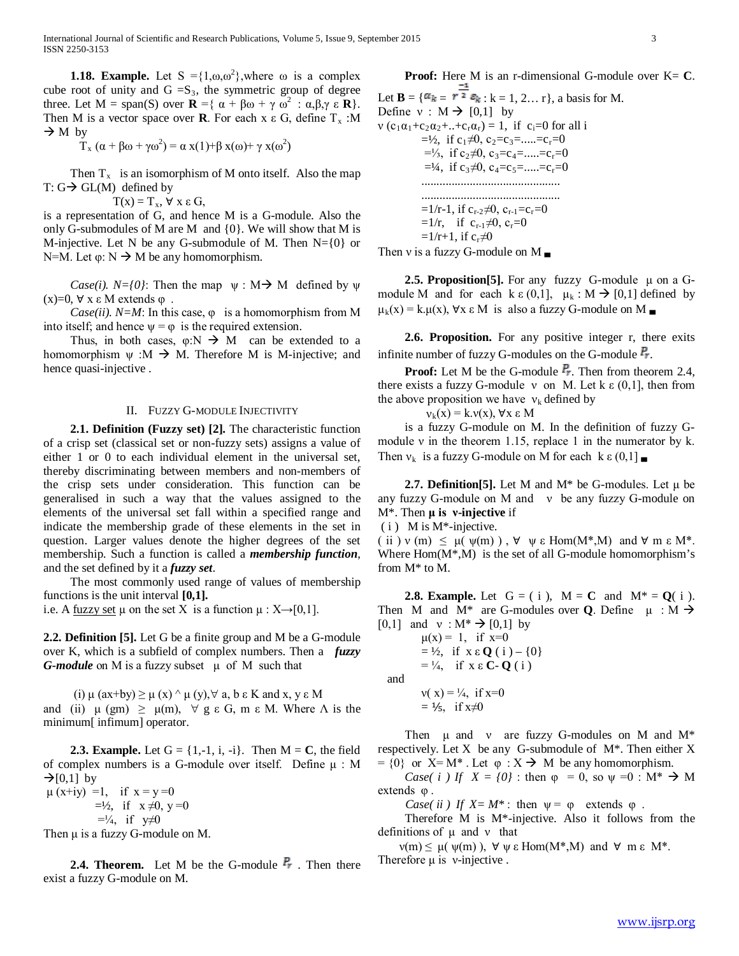**1.18. Example.** Let  $S = \{1, \omega, \omega^2\}$ , where  $\omega$  is a complex cube root of unity and  $G = S_3$ , the symmetric group of degree three. Let  $M = \text{span}(S)$  over  $\mathbf{R} = \{ \alpha + \beta\omega + \gamma \omega^2 : \alpha, \beta, \gamma \in \mathbf{R} \}.$ Then M is a vector space over **R**. For each  $x \in G$ , define  $T_x : M$  $\rightarrow$  M by

$$
T_x (\alpha + \beta \omega + \gamma \omega^2) = \alpha x (1) + \beta x (\omega) + \gamma x (\omega^2)
$$

Then  $T_x$  is an isomorphism of M onto itself. Also the map T:  $G \rightarrow GL(M)$  defined by

 $T(x) = T_x$ ,  $\forall x \in G$ ,

is a representation of G, and hence M is a G-module. Also the only G-submodules of M are M and {0}. We will show that M is M-injective. Let N be any G-submodule of M. Then  $N = \{0\}$  or N=M. Let  $\varphi: N \rightarrow M$  be any homomorphism.

*Case(i).*  $N = \{0\}$ : Then the map  $\psi$  :  $M \rightarrow M$  defined by  $\psi$ (x)=0, ∀ x ε M extends φ .

*Case(ii).*  $N=M$ : In this case,  $\varphi$  is a homomorphism from M into itself; and hence  $\psi = \varphi$  is the required extension.

Thus, in both cases,  $\varphi: N \to M$  can be extended to a homomorphism  $\psi$  :M  $\rightarrow$  M. Therefore M is M-injective; and hence quasi-injective .

## II. FUZZY G-MODULE INJECTIVITY

 **2.1. Definition (Fuzzy set) [2].** The characteristic function of a crisp set (classical set or non-fuzzy sets) assigns a value of either 1 or 0 to each individual element in the universal set, thereby discriminating between members and non-members of the crisp sets under consideration. This function can be generalised in such a way that the values assigned to the elements of the universal set fall within a specified range and indicate the membership grade of these elements in the set in question. Larger values denote the higher degrees of the set membership. Such a function is called a *membership function*, and the set defined by it a *fuzzy set*.

 The most commonly used range of values of membership functions is the unit interval **[0,1].**

i.e. A <u>fuzzy set</u>  $\mu$  on the set X is a function  $\mu$  : X→[0,1].

**2.2. Definition [5].** Let G be a finite group and M be a G-module over K, which is a subfield of complex numbers. Then a *fuzzy G-module* on M is a fuzzy subset μ of M such that

(i)  $\mu$  (ax+by)  $\geq \mu$  (x)  $\land$   $\mu$  (y),  $\forall$  a, b  $\epsilon$  K and x, y  $\epsilon$  M and (ii)  $\mu$  (gm)  $\geq \mu$ (m),  $\forall$  g  $\varepsilon$  G, m  $\varepsilon$  M. Where  $\Lambda$  is the minimum[ infimum] operator.

**2.3. Example.** Let  $G = \{1, -1, i, -i\}$ . Then  $M = C$ , the field of complex numbers is a G-module over itself. Define μ : M  $\rightarrow$ [0,1] by

$$
\mu (x+iy) = 1, \text{ if } x = y = 0
$$
  
= 4, if  $x \neq 0$ ,  $y = 0$   
= 4, if  $y \neq 0$ 

Then μ is a fuzzy G-module on M.

**2.4. Theorem.** Let M be the G-module  $\mathbb{F}_{r}$ . Then there exist a fuzzy G-module on M.

**Proof:** Here M is an r-dimensional G-module over K= C. Let  $\mathbf{B} = \{ \mathbb{Z}_k = \mathbb{Z}^2 \mathbb{Z}_k : k = 1, 2, \dots r \}$ , a basis for M.

Define  $v : M \rightarrow [0,1]$  by  $v$  (c<sub>1</sub> $\alpha_1$ +c<sub>2</sub> $\alpha_2$ +..+c<sub>r</sub> $\alpha$ <sub>r</sub>) = 1, if c<sub>i</sub>=0 for all i  $=$ 1/2, if c<sub>1</sub> $\neq$ 0, c<sub>2</sub> $=$ c<sub>3</sub> $=$ ..... $=$ c<sub>r</sub>=0  $=$  $\frac{1}{3}$ , if c<sub>2</sub> $\neq$ 0, c<sub>3</sub>=c<sub>4</sub>=.....=c<sub>r</sub>=0  $=$ 1/4, if c<sub>3</sub> $\neq$ 0, c<sub>4</sub> $=$ c<sub>5</sub> $=$ ..... $=$ c<sub>r</sub>=0 .............................................. ..............................................  $=1/r-1$ , if  $c_{r-2}\neq 0$ ,  $c_{r-1}=c_r=0$  $=1/r$ , if  $c_{r-1}\neq 0$ ,  $c_r=0$  $=1/r+1$ , if  $c_r \neq 0$ 

Then v is a fuzzy G-module on  $M$ 

 **2.5. Proposition[5].** For any fuzzy G-module μ on a Gmodule M and for each k  $\varepsilon$  (0,1],  $\mu_k : M \rightarrow [0,1]$  defined by  $\mu_k(x) = k \cdot \mu(x)$ ,  $\forall x \in M$  is also a fuzzy G-module on M  $\blacksquare$ 

 **2.6. Proposition.** For any positive integer r, there exits infinite number of fuzzy G-modules on the G-module  $\mathbb{F}_r$ .

**Proof:** Let M be the G-module  $\mathbb{P}_r$ . Then from theorem 2.4, there exists a fuzzy G-module  $v$  on M. Let k  $\varepsilon$  (0,1], then from the above proposition we have  $v_k$  defined by

 $v_k(x) = k.v(x)$ ,  $∀x ε M$ 

 is a fuzzy G-module on M. In the definition of fuzzy Gmodule ν in the theorem 1.15, replace 1 in the numerator by k. Then  $v_k$  is a fuzzy G-module on M for each  $k \in (0,1]$ 

 **2.7. Definition[5].** Let M and M\* be G-modules. Let μ be any fuzzy G-module on M and  $v$  be any fuzzy G-module on M\*. Then **μ is ν-injective** if

 $(i)$  M is M<sup>\*</sup>-injective.

( ii )  $\nu$  (m)  $\leq \mu(\psi(m))$ ,  $\nabla \psi \in \text{Hom}(M^*,M)$  and  $\nabla m \in M^*$ . Where  $Hom(M^*,M)$  is the set of all G-module homomorphism's from M\* to M.

**2.8. Example.** Let  $G = (i)$ ,  $M = C$  and  $M^* = Q(i)$ . Then M and  $M^*$  are G-modules over **Q**. Define  $\mu : M \rightarrow$ [0,1] and  $v : M^* \rightarrow [0,1]$  by

> $\mu(x) = 1$ , if  $x=0$  $= 1/2$ , if  $x \in \mathbf{Q}$  (i) – {0}  $= \frac{1}{4}$ , if  $x \in C$ - **Q** (i)

$$
v(x) = \frac{1}{4}
$$
, if x=0  
=  $\frac{1}{5}$ , if x\ne0

and

Then  $\mu$  and  $\nu$  are fuzzy G-modules on M and M\* respectively. Let X be any G-submodule of  $M^*$ . Then either X  $= \{0\}$  or  $X=M^*$ . Let  $\varphi : X \rightarrow M$  be any homomorphism.

*Case( i) If*  $X = \{0\}$  : then  $\varphi = 0$ , so  $\psi = 0$  :  $M^* \to M$ extends φ .

*Case( ii)* If  $X = M^*$ : then  $\psi = \varphi$  extends  $\varphi$ .

 Therefore M is M\*-injective. Also it follows from the definitions of  $\mu$  and  $\nu$  that

 $v(m) \leq \mu(\psi(m))$ ,  $\forall \psi \in \text{Hom}(M^*,M)$  and  $\forall m \in M^*$ . Therefore  $\mu$  is  $\nu$ -injective.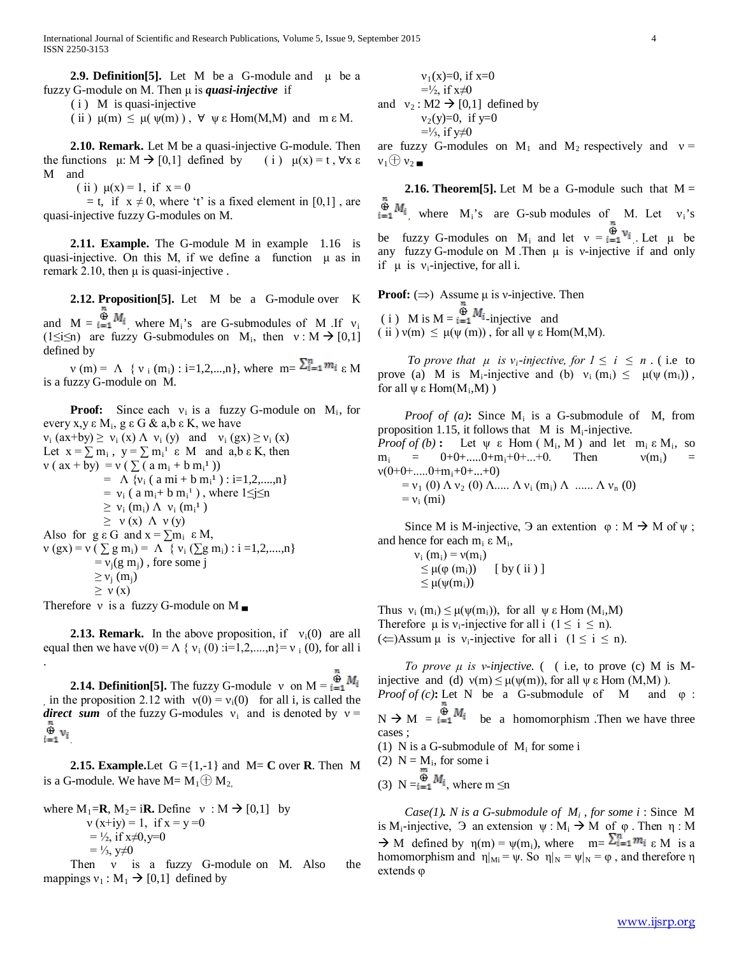**2.9. Definition[5].** Let M be a G-module and  $\mu$  be a fuzzy G-module on M. Then μ is *quasi-injective* if

 $(i)$  M is quasi-injective

( ii )  $\mu(m) \leq \mu(\psi(m))$ ,  $\nabla \psi \in \text{Hom}(M,M)$  and  $m \in M$ .

 **2.10. Remark.** Let M be a quasi-injective G-module. Then the functions  $\mu: M \rightarrow [0,1]$  defined by (i)  $\mu(x) = t$ ,  $\forall x \in$ M and

( ii )  $\mu(x) = 1$ , if  $x = 0$ 

 $=$  t, if  $x \neq 0$ , where 't' is a fixed element in [0,1], are quasi-injective fuzzy G-modules on M.

**2.11. Example.** The G-module M in example 1.16 is quasi-injective. On this M, if we define a function  $\mu$  as in remark 2.10, then  $\mu$  is quasi-injective.

 **2.12. Proposition[5].** Let M be a G-module over K and  $M = \frac{\hat{\Phi}}{i=1} M_i$ , where  $M_i$ 's are G-submodules of M .If  $v_i$ (1≤i≤n) are fuzzy G-submodules on M<sub>i</sub>, then  $v : M \rightarrow [0,1]$ defined by

 $v(m) = \Lambda \{v_i(m_i) : i=1,2,...,n\}$ , where  $m = \sum_{i=1}^n m_i \varepsilon M$ is a fuzzy G-module on M.

**Proof:** Since each  $v_i$  is a fuzzy G-module on  $M_i$ , for every x, y ε M<sub>i</sub>, g ε G & a,b ε K, we have  $v_i (ax+by) \ge v_i (x) \Lambda v_i (y)$  and  $v_i (gx) \ge v_i (x)$ Let  $x = \sum m_i$ ,  $y = \sum m_i^i \epsilon M$  and  $a, b \epsilon K$ , then  $v (ax + by) = v (\sum (a m_i + b m_i^1))$  $= \Lambda \{v_i$  ( a mi + b m<sub>i</sub><sup>1</sup>) : i=1,2,....,n }  $= v_i$  ( a m<sub>i</sub>+ b m<sub>i</sub><sup>1</sup>), where 1≤j≤n  $\geq v_i$  (m<sub>i</sub>)  $\Lambda v_i$  (m<sub>i</sub><sup>1</sup>)  $\geq v(x) \Lambda v(y)$ Also for  $g \varepsilon G$  and  $x = \sum m_i \varepsilon M$ ,  $v (gx) = v (\sum g m_i) = \Lambda \{ v_i (\sum g m_i) : i = 1, 2, ..., n \}$  $= v_i(g \, m_i)$ , fore some j  $\geq$   $v_i$  (m<sub>i</sub>)  $\geq v(x)$ Therefore  $v$  is a fuzzy G-module on M  $\blacksquare$ 

.

**2.13. Remark.** In the above proposition, if  $v_i(0)$  are all equal then we have  $v(0) = \Lambda \{ v_i(0) : i=1,2,...,n\} = v_i(0)$ , for all i .

**2.14. Definition[5].** The fuzzy G-module  $v$  on  $M = \frac{\hat{\Phi}}{i=1} M_i$ in the proposition 2.12 with  $v(0) = v_i(0)$  for all i, is called the *direct sum* of the fuzzy G-modules  $v_i$  and is denoted by  $v =$ 

**2.15. Example.**Let  $G = \{1, -1\}$  and  $M = C$  over **R**. Then M is a G-module. We have  $M = M_1 \oplus M_2$ .

where 
$$
M_1 = \mathbf{R}
$$
,  $M_2 = i\mathbf{R}$ . Define  $v : M \to [0,1]$  by  
\n $v (x+iy) = 1$ , if  $x = y = 0$   
\n $= \frac{1}{2}$ , if  $x \neq 0$ ,  $y = 0$   
\n $= \frac{1}{3}$ ,  $y \neq 0$ 

Then *v* is a fuzzy G-module on M. Also the mappings  $v_1 : M_1 \rightarrow [0,1]$  defined by

$$
v_1(x)=0, \text{ if } x=0
$$
  
= $\frac{1}{2}$ , if  $x\neq 0$   
and  $v_2: M2 \rightarrow [0,1]$  defined by  
 $v_2(y)=0, \text{ if } y=0$   
= $\frac{1}{2}$ , if  $y\neq 0$ 

are fuzzy G-modules on  $M_1$  and  $M_2$  respectively and  $v =$  $v_1 \oplus v_2$   $\blacksquare$ 

**2.16. Theorem<sup>[5]</sup>.** Let M be a G-module such that  $M =$  $\stackrel{\pi}{\underset{n=1}{\bigoplus}} M_i$  where  $M_i$ 's are G-sub modules of M. Let  $v_i$ 's i=1 be fuzzy G-modules on M<sub>i</sub> and let  $v = \frac{\mathfrak{S}}{\mathfrak{I} - \mathfrak{I}} v$ <sub>i</sub>. Let  $\mu$  be any fuzzy G-module on M .Then μ is ν-injective if and only if  $\mu$  is  $v_i$ -injective, for all i.

**Proof:**  $(\Rightarrow)$  Assume  $\mu$  is v-injective. Then (i) M is  $M = \prod_{i=1}^{m} M_i$ -injective and ( ii )  $v(m) \leq \mu(\psi(m))$ , for all  $\psi \in \text{Hom}(M,M)$ .

*To prove that*  $\mu$  *is*  $v_i$ *-injective, for*  $1 \le i \le n$ . (i.e to prove (a) M is M<sub>i</sub>-injective and (b)  $v_i$  (m<sub>i</sub>)  $\leq \mu(\psi(m_i))$ , for all  $ψ$  ε Hom( $M_i$ , $M$ ))

*Proof of (a)***:** Since  $M_i$  is a G-submodule of M, from proposition 1.15, it follows that  $M$  is  $M_i$ -injective.

*Proof of (b)* **:** Let  $\psi$  ε Hom (M<sub>i</sub>, M) and let m<sub>i</sub> ε M<sub>i</sub>, so  $m_i$  = 0+0+.....0+ $m_i$ +0+...+0. Then  $v(m_i)$  $v(0+0+....0+m_i+0+...+0)$  $= v_1$  (0)  $\Lambda v_2$  (0)  $\Lambda$ .....  $\Lambda v_i$  (m<sub>i</sub>)  $\Lambda$  ......  $\Lambda v_n$  (0)

 $= v_i$  (mi)

Since M is M-injective,  $\Theta$  an extention  $\varphi : M \to M$  of  $\psi$ ; and hence for each  $m_i \varepsilon M_i$ ,

> $v_i$  (m<sub>i</sub>) =  $v(m_i)$  $\leq \mu(\varphi(m_i))$  [by (ii)]  $\leq \mu(\psi(m_i))$

Thus  $v_i$  (m<sub>i</sub>)  $\leq \mu(\psi(m_i))$ , for all  $\psi \in$  Hom (M<sub>i</sub>,M) Therefore  $\mu$  is  $v_i$ -injective for all i  $(1 \le i \le n)$ .  $(\Leftarrow)$ Assum μ is v<sub>i</sub>-injective for all i  $(1 \le i \le n)$ .

 *To prove μ is ν-injective.* ( ( i.e, to prove (c) M is Minjective and (d)  $v(m) \le \mu(w(m))$ , for all  $\psi \in$  Hom  $(M, M)$ ). *Proof of (c)***:** Let N be a G-submodule of M and  $\varphi$  :  $N \to M = \prod_{i=1}^{m} M_i$  be a homomorphism . Then we have three cases ; (1) N is a G-submodule of  $M_i$  for some i (2)  $N = M_i$ , for some i

(3) N =  $\stackrel{m}{\oplus} M_i$ , where m  $\leq n$ 

*Case(1). N is a G-submodule of*  $M_i$ *, for some i* : Since M is M<sub>i</sub>-injective,  $\Theta$  an extension  $\psi : M_i \to M$  of  $\phi$ . Then  $\eta : M$  $\rightarrow M$  defined by  $\eta(m) = \psi(m_i)$ , where  $m = \sum_{i=1}^{m} m_i \varepsilon M$  is a homomorphism and  $\eta|_{Mi} = \psi$ . So  $\eta|_N = \psi|_N = \varphi$ , and therefore  $\eta$ extends φ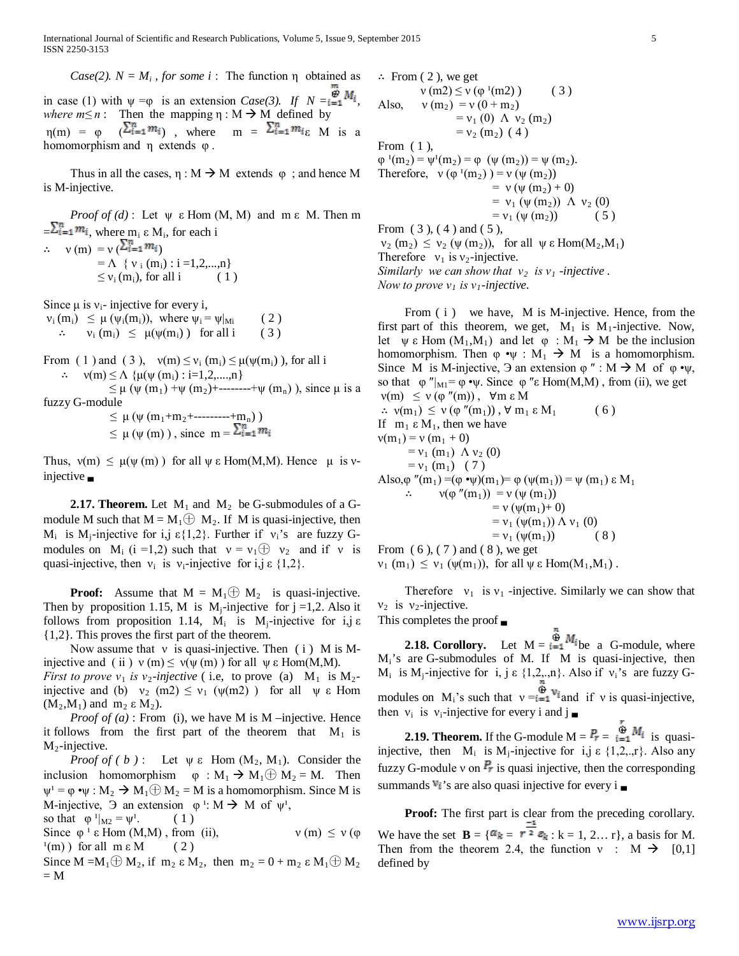*Case(2). N = M<sub>i</sub>, for some i* : The function  $\eta$  obtained as  $\sum_{i=1}^{m} M_i$ . in case (1) with  $\psi = \varphi$  is an extension *Case(3).* If  $N = \frac{d\psi}{dx}$ *where*  $m \le n$ : Then the mapping  $\eta : M \rightarrow M$  defined by  $\eta(m) = \varphi \quad (\sum_{i=1}^n m_i)$ , where  $m = \sum_{i=1}^n m_i \xi$  M is a homomorphism and η extends φ .

Thus in all the cases,  $\eta : M \to M$  extends  $\varphi$ ; and hence M is M-injective.

*Proof of (d)* : Let  $\psi$  ε Hom (M, M) and m ε M. Then m  $\equiv \sum_{i=1}^{n} m_i$ , where  $m_i \varepsilon M_i$ , for each i

.. 
$$
v(m) = v(\sum_{i=1}^{m} m_i)
$$
  
=  $\Lambda \{ v_i (m_i) : i = 1, 2, ..., n \}$   
 $\leq v_i (m_i)$ , for all i (1)

Since  $\mu$  is  $v_i$ - injective for every i,

 $v_i(m_i) \leq \mu(\psi_i(m_i))$ , where  $\psi_i = \psi|_{Mi}$  (2)  $\therefore$   $v_i$  (m<sub>i</sub>)  $\leq \mu(\psi(m_i))$  for all i (3)

From (1) and (3), 
$$
v(m) \le v_i (m_i) \le \mu(\psi(m_i))
$$
, for all i  
\n
$$
\therefore v(m) \le \Lambda \{ \mu(\psi(m_i) : i=1,2,...,n \}
$$
\n
$$
\le \mu (\psi(m_1) + \psi(m_2) + \cdots + \psi(m_n)), \text{ since } \mu \text{ is a}
$$

fuzzy G-module

 $\leq \mu \left( \psi \left( m_1 + m_2 + \cdots + m_n \right) \right)$  $\leq \mu(\Psi(m))$ , since  $m = \sum_{i=1}^{n} m_i$ 

Thus,  $v(m) \leq \mu(\psi(m))$  for all  $\psi \in \text{Hom}(M,M)$ . Hence  $\mu$  is vinjective ▃

**2.17. Theorem.** Let  $M_1$  and  $M_2$  be G-submodules of a Gmodule M such that  $M = M_1 \oplus M_2$ . If M is quasi-injective, then M<sub>i</sub> is M<sub>i</sub>-injective for i,j  $\epsilon\{1,2\}$ . Further if  $v_i$ 's are fuzzy Gmodules on M<sub>i</sub> (i =1,2) such that  $v = v_1 \oplus v_2$  and if v is quasi-injective, then  $v_i$  is  $v_i$ -injective for i,j  $\epsilon$  {1,2}.

**Proof:** Assume that  $M = M_1 \oplus M_2$  is quasi-injective. Then by proposition 1.15, M is  $M_i$ -injective for j =1,2. Also it follows from proposition 1.14,  $M_i$  is  $M_i$ -injective for i,j  $\varepsilon$ {1,2}. This proves the first part of the theorem.

Now assume that  $\nu$  is quasi-injective. Then (i) M is Minjective and (ii)  $v(m) \le v(\psi(m))$  for all  $\psi \in$  Hom(M,M). *First to prove v<sub>1</sub> is v<sub>2</sub>-injective* (i.e, to prove (a)  $M_1$  is  $M_2$ injective and (b)  $v_2$  (m2)  $\le v_1$  ( $\psi$ (m2)) for all  $\psi$  ε Hom  $(M_2,M_1)$  and  $m_2 \in M_2$ ).

*Proof of (a)* : From (i), we have M is M –injective. Hence it follows from the first part of the theorem that  $M_1$  is M2-injective.

*Proof of (b)*: Let  $\psi \in$  Hom  $(M_2, M_1)$ . Consider the inclusion homomorphism  $\varphi : M_1 \rightarrow M_1 \oplus M_2 = M$ . Then  $\psi^1 = \varphi \cdot \psi : M_2 \to M_1 \oplus M_2 = M$  is a homomorphism. Since M is M-injective,  $\Theta$  an extension  $\varphi$ <sup>1</sup>: M  $\rightarrow$  M of  $\psi$ <sup>1</sup>,

so that  $\varphi^{-1}|_{M2} = \psi^1$ . (1)

Since  $\varphi$ <sup>1</sup> ε Hom (M,M), from (ii),  $v(m) \le v(\varphi)$  $^{\text{1}}$ (m)) for all m  $\epsilon$  M (2)

Since  $M = M_1 \oplus M_2$ , if  $m_2 \in M_2$ , then  $m_2 = 0 + m_2 \in M_1 \oplus M_2$  $= M$ 

$$
\therefore
$$
 From (2), we get  
\n
$$
v (m2) \le v (\varphi^{1}(m2))
$$
\n(3)  
\nAlso, 
$$
v (m_2) = v (0 + m_2)
$$
\n
$$
= v_1 (0) \Lambda v_2 (m_2)
$$
\nFrom (1),  
\n
$$
\varphi^{1}(m_2) = \psi^{1}(m_2) = \varphi (\psi (m_2)) = \psi (m_2).
$$
\nTherefore, 
$$
v (\varphi^{1}(m_2)) = v (\psi (m_2))
$$
\n
$$
= v (\psi (m_2) + 0)
$$
\n
$$
= v_1 (\psi (m_2)) \Lambda v_2 (0)
$$
\n
$$
= v_1 (\psi (m_2)) \Lambda v_2 (0)
$$
\nFrom (3), (4) and (5),  
\n
$$
v_2 (m_2) \le v_2 (\psi (m_2)),
$$
 for all  $\psi \in$  Hom(M<sub>2</sub>,M<sub>1</sub>)  
\nTherefore  $v_1$  is  $v_2$ -injective.  
\nSimilarly we can show that  $v_2$  is  $v_1$ -injective.  
\nNow to prove  $v_1$  is  $v_1$ -injective.

From (i) we have, M is M-injective. Hence, from the first part of this theorem, we get,  $M_1$  is  $M_1$ -injective. Now, let  $\psi \in$  Hom  $(M_1, M_1)$  and let  $\varphi : M_1 \rightarrow M$  be the inclusion homomorphism. Then  $\varphi \cdot \psi : M_1 \to M$  is a homomorphism. Since M is M-injective,  $\Theta$  an extension  $\varphi'' : M \to M$  of  $\varphi \cdot \psi$ , so that  $\varphi''|_{M1} = \varphi \cdot \psi$ . Since  $\varphi'' \in Hom(M,M)$ , from (ii), we get  $v(m) \le v (\varphi''(m))$ ,  $\forall m \in M$ 

$$
\therefore v(m_1) \le v(\varphi''(m_1)), \forall m_1 \in M_1
$$
 (6)

If  $m_1$  ε M<sub>1</sub>, then we have  $v(m_1) = v (m_1 + 0)$ 

$$
v(m_1) = v (m_1 + 0)
$$
  
= v<sub>1</sub> (m<sub>1</sub>)  $\Lambda$  v<sub>2</sub> (0)

 $= v_1$  (m<sub>1</sub>) (7) Also,  $\varphi''(m_1) = (\varphi \cdot \psi)(m_1) = \varphi (\psi(m_1)) = \psi (m_1) \varepsilon M_1$ :  $v(\varphi''(m_1)) = v(\psi(m_1))$ 

$$
= v (\psi(m_1) + 0)
$$
  
= v (\psi(m\_1) + 0)  
= v<sub>1</sub> (\psi(m\_1)) \Lambda v<sub>1</sub> (0)

$$
=v_1(\psi(m_1))
$$
 (8)

From  $(6)$ ,  $(7)$  and  $(8)$ , we get

 $v_1$  (m<sub>1</sub>)  $\leq v_1$  ( $\psi$ (m<sub>1</sub>)), for all  $\psi$   $\varepsilon$  Hom(M<sub>1</sub>,M<sub>1</sub>).

Therefore  $v_1$  is  $v_1$ -injective. Similarly we can show that  $v_2$  is  $v_2$ -injective.

This completes the proof ■

**2.18. Corollory.** Let  $M = \prod_{i=1}^{\oplus} M_i$  be a G-module, where  $M_i$ 's are G-submodules of M. If M is quasi-injective, then  $M_i$  is  $M_i$ -injective for i, j  $\varepsilon$  {1,2,.,n}. Also if  $v_i$ 's are fuzzy Gmodules on  $M_i$ 's such that  $v = \prod_{i=1}^{\tilde{\Phi}} V_i$  and if v is quasi-injective, then  $v_i$  is  $v_i$ -injective for every i and j  $\blacksquare$ 

**2.19. Theorem.** If the G-module  $M = P_r = \int_{i=1}^{\infty} M_i$  is quasiinjective, then  $M_i$  is  $M_i$ -injective for i,j  $\epsilon$  {1,2,.,r}. Also any fuzzy G-module v on  $\mathbb{F}_{\mathbb{F}}$  is quasi injective, then the corresponding summands  $\Psi$ i's are also quasi injective for every i  $\blacksquare$ 

 **Proof:** The first part is clear from the preceding corollary. We have the set  $\mathbf{B} = \{ \mathcal{Q}_k = r^2 \mathcal{Z}_k : k = 1, 2...r \}$ , a basis for M. Then from the theorem 2.4, the function  $v : M \rightarrow [0,1]$ defined by